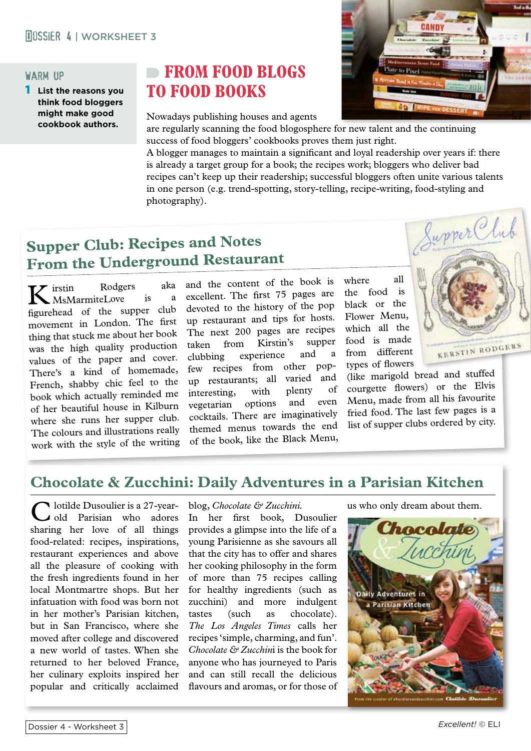#### warm up

**List the reasons you think food bloggers might make good cookbook authors.**

# **FROM FOOD BLOGS TO FOOD BOOKS**

Nowadays publishing houses and agents



are regularly scanning the food blogosphere for new talent and the continuing success of food bloggers' cookbooks proves them just right.

A blogger manages to maintain a significant and loyal readership over years if: there is already a target group for a book; the recipes work; bloggers who deliver bad recipes can't keep up their readership; successful bloggers often unite various talents in one person (e.g. trend-spotting, story-telling, recipe-writing, food-styling and photography).

# **Supper Club: Recipes and Notes From the Underground Restaurant**

K irstin Rodgers aka MsMarmiteLove figurehead of the supper club movement in London. The first thing that stuck me about her book was the high quality production values of the paper and cover. There's a kind of homemade, French, shabby chic feel to the book which actually reminded me of her beautiful house in Kilburn where she runs her supper club. The colours and illustrations really work with the style of the writing

and the content of the book is excellent. The first 75 pages are devoted to the history of the pop up restaurant and tips for hosts. The next 200 pages are recipes taken from Kirstin's supper clubbing experience and a<br>few recipes from other popfew recipes from up restaurants; all varied and<br>interesting, with plenty of interesting, with plenty of<br>receterion options and even vegetarian options and cocktails. There are imaginatively themed menus towards the end of the book, like the Black Menu,

where all the food is black or the Flower Menu, which all the food is made from different types of flowers

(like marigold bread and stuffed courgette flowers) or the Elvis Menu, made from all his favourite fried food. The last few pages is a list of supper clubs ordered by city.



### **Chocolate & Zucchini: Daily Adventures in a Parisian Kitchen**

Iotilde Dusoulier is a 27-yearold Parisian who adores sharing her love of all things food-related: recipes, inspirations, restaurant experiences and above all the pleasure of cooking with the fresh ingredients found in her local Montmartre shops. But her infatuation with food was born not in her mother's Parisian kitchen, but in San Francisco, where she moved after college and discovered a new world of tastes. When she returned to her beloved France, her culinary exploits inspired her popular and critically acclaimed

#### blog, *Chocolate & Zucchini.*

In her first book, Dusoulier provides a glimpse into the life of a young Parisienne as she savours all that the city has to offer and shares her cooking philosophy in the form of more than 75 recipes calling for healthy ingredients (such as zucchini) and more indulgent tastes (such as chocolate). *The Los Angeles Times* calls her recipes 'simple, charming, and fun'. *Chocolate & Zucchin*i is the book for anyone who has journeyed to Paris and can still recall the delicious flavours and aromas, or for those of

us who only dream about them.